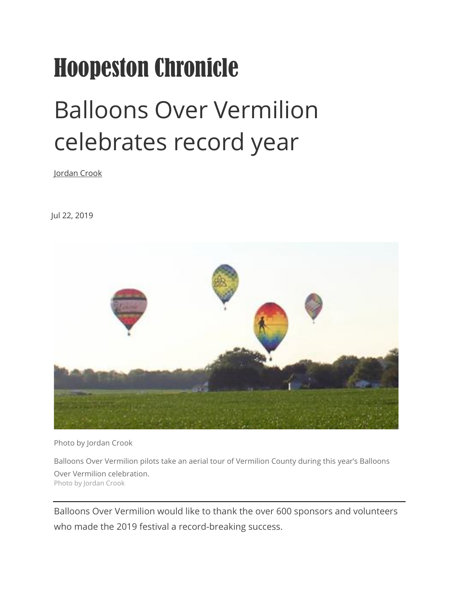## Hoopeston Chronicle

## Balloons Over Vermilion celebrates record year

[Jordan Crook](https://www.newsbug.info/users/profile/chronreporter)

Jul 22, 2019



Photo by Jordan Crook

Balloons Over Vermilion pilots take an aerial tour of Vermilion County during this year's Balloons Over Vermilion celebration. Photo by Jordan Crook

Balloons Over Vermilion would like to thank the over 600 sponsors and volunteers who made the 2019 festival a record-breaking success.